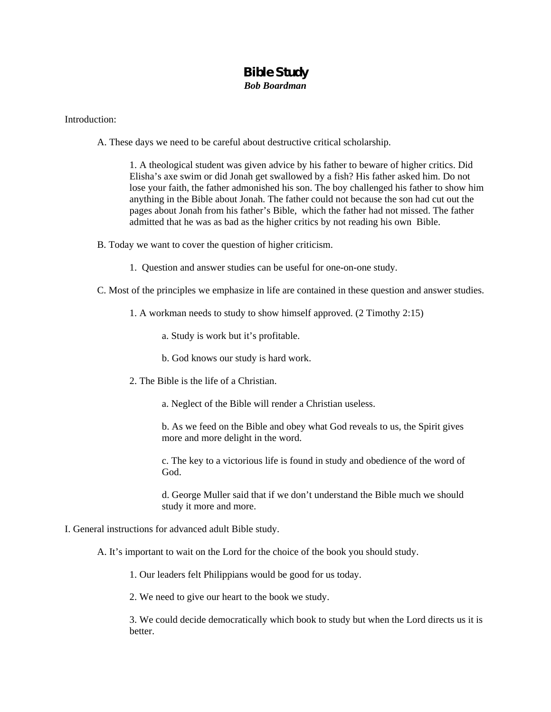## **Bible Study**

*Bob Boardman* 

## Introduction:

A. These days we need to be careful about destructive critical scholarship.

1. A theological student was given advice by his father to beware of higher critics. Did Elisha's axe swim or did Jonah get swallowed by a fish? His father asked him. Do not lose your faith, the father admonished his son. The boy challenged his father to show him anything in the Bible about Jonah. The father could not because the son had cut out the pages about Jonah from his father's Bible, which the father had not missed. The father admitted that he was as bad as the higher critics by not reading his own Bible.

- B. Today we want to cover the question of higher criticism.
	- 1. Question and answer studies can be useful for one-on-one study.
- C. Most of the principles we emphasize in life are contained in these question and answer studies.
	- 1. A workman needs to study to show himself approved. (2 Timothy 2:15)
		- a. Study is work but it's profitable.
		- b. God knows our study is hard work.
	- 2. The Bible is the life of a Christian.
		- a. Neglect of the Bible will render a Christian useless.
		- b. As we feed on the Bible and obey what God reveals to us, the Spirit gives more and more delight in the word.
		- c. The key to a victorious life is found in study and obedience of the word of God.
		- d. George Muller said that if we don't understand the Bible much we should study it more and more.
- I. General instructions for advanced adult Bible study.
	- A. It's important to wait on the Lord for the choice of the book you should study.
		- 1. Our leaders felt Philippians would be good for us today.
		- 2. We need to give our heart to the book we study.

 3. We could decide democratically which book to study but when the Lord directs us it is better.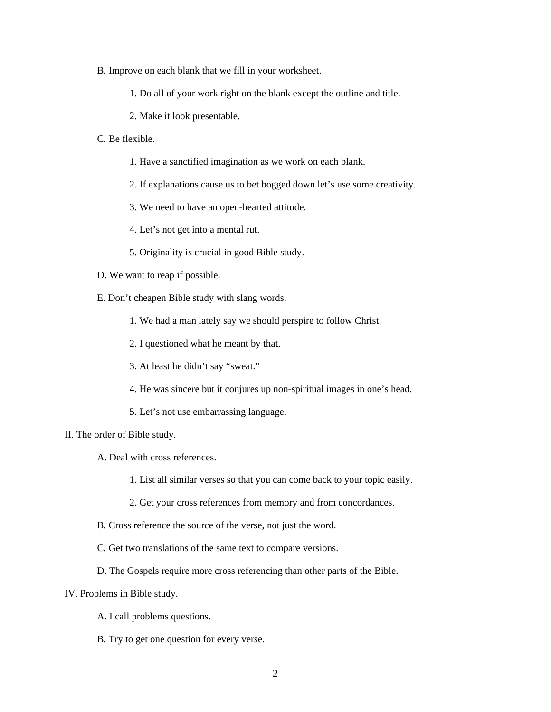- B. Improve on each blank that we fill in your worksheet.
	- 1. Do all of your work right on the blank except the outline and title.
	- 2. Make it look presentable.
- C. Be flexible.
	- 1. Have a sanctified imagination as we work on each blank.
	- 2. If explanations cause us to bet bogged down let's use some creativity.
	- 3. We need to have an open-hearted attitude.
	- 4. Let's not get into a mental rut.
	- 5. Originality is crucial in good Bible study.
- D. We want to reap if possible.
- E. Don't cheapen Bible study with slang words.
	- 1. We had a man lately say we should perspire to follow Christ.
	- 2. I questioned what he meant by that.
	- 3. At least he didn't say "sweat."
	- 4. He was sincere but it conjures up non-spiritual images in one's head.
	- 5. Let's not use embarrassing language.
- II. The order of Bible study.
	- A. Deal with cross references.
		- 1. List all similar verses so that you can come back to your topic easily.
		- 2. Get your cross references from memory and from concordances.
	- B. Cross reference the source of the verse, not just the word.
	- C. Get two translations of the same text to compare versions.
	- D. The Gospels require more cross referencing than other parts of the Bible.
- IV. Problems in Bible study.
	- A. I call problems questions.
	- B. Try to get one question for every verse.